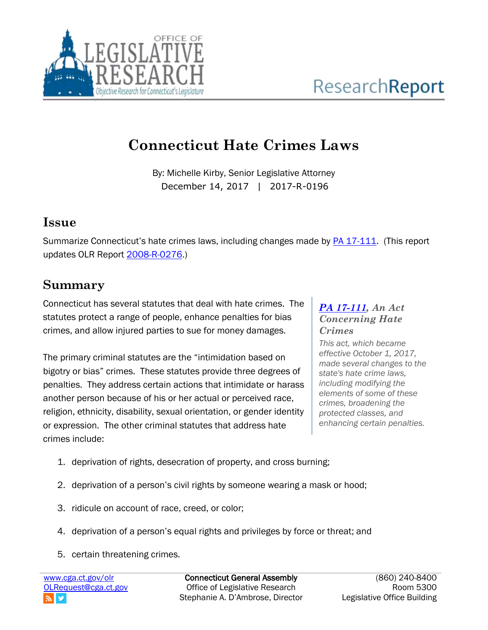

# **Connecticut Hate Crimes Laws**

By: Michelle Kirby, Senior Legislative Attorney December 14, 2017 | 2017-R-0196

### **Issue**

Summarize Connecticut's hate crimes laws, including changes made by **PA 17-111**. (This report updates OLR Report [2008-R-0276.](http://cga.ct.gov/2008/rpt/2008-R-0276.htm))

### **Summary**

Connecticut has several statutes that deal with hate crimes. The statutes protect a range of people, enhance penalties for bias crimes, and allow injured parties to sue for money damages.

The primary criminal statutes are the "intimidation based on bigotry or bias" crimes. These statutes provide three degrees of penalties. They address certain actions that intimidate or harass another person because of his or her actual or perceived race, religion, ethnicity, disability, sexual orientation, or gender identity or expression. The other criminal statutes that address hate crimes include:

#### *[PA 17-111,](https://www.cga.ct.gov/asp/cgabillstatus/cgabillstatus.asp?selBillType=Public+Act&which_year=2017&bill_num=111) An Act Concerning Hate Crimes*

*This act, which became effective October 1, 2017, made several changes to the state's hate crime laws, including modifying the elements of some of these crimes, broadening the protected classes, and enhancing certain penalties.*

- 1. deprivation of rights, desecration of property, and cross burning;
- 2. deprivation of a person's civil rights by someone wearing a mask or hood;
- 3. ridicule on account of race, creed, or color;
- 4. deprivation of a person's equal rights and privileges by force or threat; and
- 5. certain threatening crimes.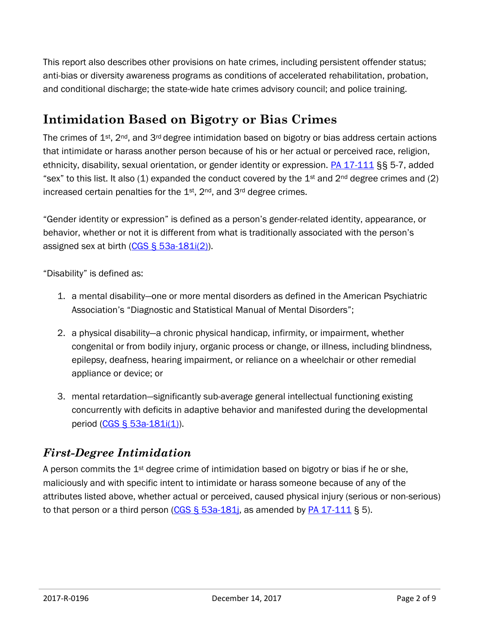This report also describes other provisions on hate crimes, including persistent offender status; anti-bias or diversity awareness programs as conditions of accelerated rehabilitation, probation, and conditional discharge; the state-wide hate crimes advisory council; and police training.

### **Intimidation Based on Bigotry or Bias Crimes**

The crimes of  $1^{st}$ , 2<sup>nd</sup>, and 3<sup>rd</sup> degree intimidation based on bigotry or bias address certain actions that intimidate or harass another person because of his or her actual or perceived race, religion, ethnicity, disability, sexual orientation, or gender identity or expression. [PA 17-111](https://www.cga.ct.gov/asp/cgabillstatus/cgabillstatus.asp?selBillType=Public+Act&which_year=2017&bill_num=111) §§ 5-7, added "sex" to this list. It also (1) expanded the conduct covered by the  $1<sup>st</sup>$  and  $2<sup>nd</sup>$  degree crimes and (2) increased certain penalties for the  $1<sup>st</sup>$ ,  $2<sup>nd</sup>$ , and  $3<sup>rd</sup>$  degree crimes.

"Gender identity or expression" is defined as a person's gender-related identity, appearance, or behavior, whether or not it is different from what is traditionally associated with the person's assigned sex at birth [\(CGS § 53a-181i\(2\)\)](https://www.cga.ct.gov/current/pub/chap_952.htm#sec_53a-181i).

"Disability" is defined as:

- 1. a mental disability—one or more mental disorders as defined in the American Psychiatric Association's "Diagnostic and Statistical Manual of Mental Disorders";
- 2. a physical disability—a chronic physical handicap, infirmity, or impairment, whether congenital or from bodily injury, organic process or change, or illness, including blindness, epilepsy, deafness, hearing impairment, or reliance on a wheelchair or other remedial appliance or device; or
- 3. mental retardation—significantly sub-average general intellectual functioning existing concurrently with deficits in adaptive behavior and manifested during the developmental period [\(CGS § 53a-181i\(1\)\)](https://www.cga.ct.gov/current/pub/chap_952.htm#sec_53a-181i).

#### *First-Degree Intimidation*

A person commits the  $1<sup>st</sup>$  degree crime of intimidation based on bigotry or bias if he or she, maliciously and with specific intent to intimidate or harass someone because of any of the attributes listed above, whether actual or perceived, caused physical injury (serious or non-serious) to that person or a third person (CGS  $\S$  53a-181; as amended by [PA 17-111](https://www.cga.ct.gov/asp/cgabillstatus/cgabillstatus.asp?selBillType=Public+Act&which_year=2017&bill_num=111)  $\S$  5).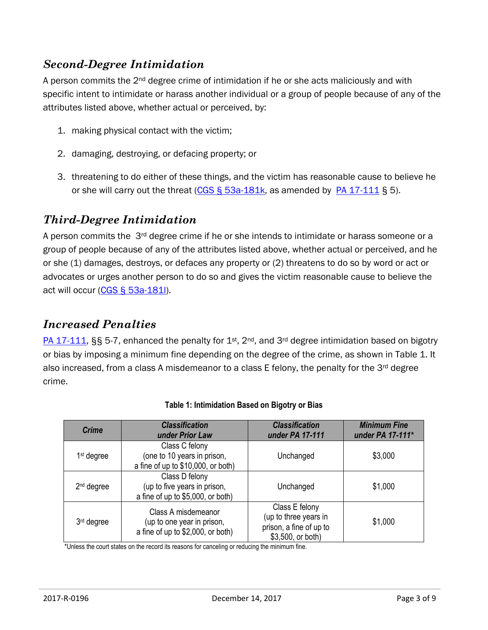#### *Second-Degree Intimidation*

A person commits the  $2<sup>nd</sup>$  degree crime of intimidation if he or she acts maliciously and with specific intent to intimidate or harass another individual or a group of people because of any of the attributes listed above, whether actual or perceived, by:

- 1. making physical contact with the victim;
- 2. damaging, destroying, or defacing property; or
- 3. threatening to do either of these things, and the victim has reasonable cause to believe he or she will carry out the threat (CGS  $\S$  53a-181k, as amended by [PA 17-111](https://www.cga.ct.gov/asp/cgabillstatus/cgabillstatus.asp?selBillType=Public+Act&which_year=2017&bill_num=111)  $\S$  5).

#### *Third-Degree Intimidation*

A person commits the 3<sup>rd</sup> degree crime if he or she intends to intimidate or harass someone or a group of people because of any of the attributes listed above, whether actual or perceived, and he or she (1) damages, destroys, or defaces any property or (2) threatens to do so by word or act or advocates or urges another person to do so and gives the victim reasonable cause to believe the act will occur [\(CGS § 53a-181l\)](https://www.cga.ct.gov/current/pub/chap_952.htm#sec_53a-181l).

#### *Increased Penalties*

[PA 17-111,](https://www.cga.ct.gov/asp/cgabillstatus/cgabillstatus.asp?selBillType=Public+Act&which_year=2017&bill_num=111) §§ 5-7, enhanced the penalty for 1<sup>st</sup>, 2<sup>nd</sup>, and 3<sup>rd</sup> degree intimidation based on bigotry or bias by imposing a minimum fine depending on the degree of the crime, as shown in Table 1. It also increased, from a class A misdemeanor to a class E felony, the penalty for the  $3<sup>rd</sup>$  degree crime.

| <b>Crime</b>           | <b>Classification</b><br>under Prior Law                                               | <b>Classification</b><br>under PA 17-111                                                | <b>Minimum Fine</b><br>under PA 17-111* |
|------------------------|----------------------------------------------------------------------------------------|-----------------------------------------------------------------------------------------|-----------------------------------------|
| $1st$ degree           | Class C felony<br>(one to 10 years in prison,<br>a fine of up to \$10,000, or both)    | Unchanged                                                                               | \$3,000                                 |
| $2nd$ degree           | Class D felony<br>(up to five years in prison,<br>a fine of up to \$5,000, or both)    | Unchanged                                                                               | \$1,000                                 |
| 3 <sup>rd</sup> degree | Class A misdemeanor<br>(up to one year in prison,<br>a fine of up to \$2,000, or both) | Class E felony<br>(up to three years in<br>prison, a fine of up to<br>\$3,500, or both) | \$1,000                                 |

#### **Table 1: Intimidation Based on Bigotry or Bias**

\*Unless the court states on the record its reasons for canceling or reducing the minimum fine.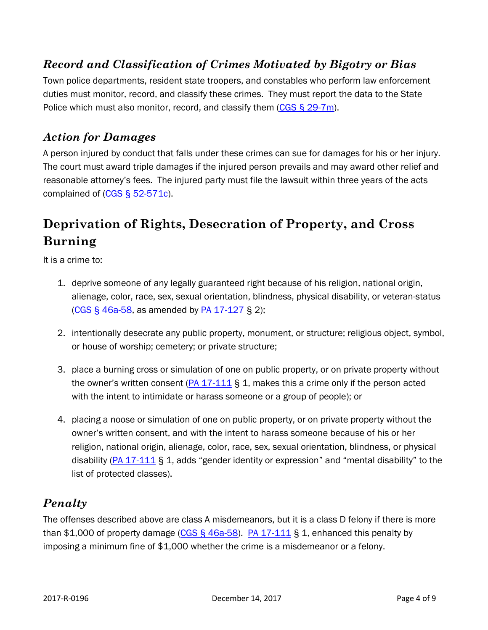### *Record and Classification of Crimes Motivated by Bigotry or Bias*

Town police departments, resident state troopers, and constables who perform law enforcement duties must monitor, record, and classify these crimes. They must report the data to the State Police which must also monitor, record, and classify them  $(CGS \S 29-7m)$ .

#### *Action for Damages*

A person injured by conduct that falls under these crimes can sue for damages for his or her injury. The court must award triple damages if the injured person prevails and may award other relief and reasonable attorney's fees. The injured party must file the lawsuit within three years of the acts complained of  $(CGS \S 52-571c)$ .

### **Deprivation of Rights, Desecration of Property, and Cross Burning**

It is a crime to:

- 1. deprive someone of any legally guaranteed right because of his religion, national origin, alienage, color, race, sex, sexual orientation, blindness, physical disability, or veteran-status [\(CGS § 46a-58,](https://www.cga.ct.gov/current/pub/chap_814c.htm#sec_46a-58) as amended by [PA 17-127](https://www.cga.ct.gov/asp/cgabillstatus/cgabillstatus.asp?selBillType=Public+Act&which_year=2017&bill_num=127) § 2);
- 2. intentionally desecrate any public property, monument, or structure; religious object, symbol, or house of worship; cemetery; or private structure;
- 3. place a burning cross or simulation of one on public property, or on private property without the owner's written consent  $(PA 17-111 \S 1)$  $(PA 17-111 \S 1)$ , makes this a crime only if the person acted with the intent to intimidate or harass someone or a group of people); or
- 4. placing a noose or simulation of one on public property, or on private property without the owner's written consent, and with the intent to harass someone because of his or her religion, national origin, alienage, color, race, sex, sexual orientation, blindness, or physical disability (PA  $17-111$  § 1, adds "gender identity or expression" and "mental disability" to the list of protected classes).

#### *Penalty*

The offenses described above are class A misdemeanors, but it is a class D felony if there is more than \$1,000 of property damage  $(CGS \, \S \, 46a-58)$ . [PA 17-111](https://www.cga.ct.gov/asp/cgabillstatus/cgabillstatus.asp?selBillType=Public+Act&which_year=2017&bill_num=111) § 1, enhanced this penalty by imposing a minimum fine of \$1,000 whether the crime is a misdemeanor or a felony.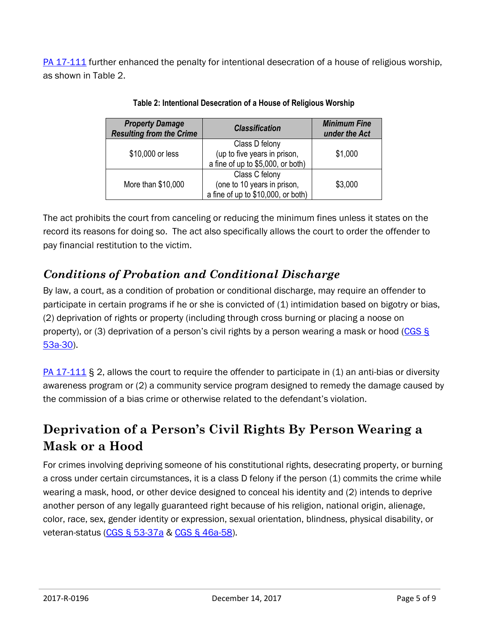[PA 17-111](https://www.cga.ct.gov/asp/cgabillstatus/cgabillstatus.asp?selBillType=Public+Act&which_year=2017&bill_num=111) further enhanced the penalty for intentional desecration of a house of religious worship, as shown in Table 2.

| <b>Property Damage</b><br><b>Resulting from the Crime</b> | <b>Classification</b>                                             | <b>Minimum Fine</b><br>under the Act |
|-----------------------------------------------------------|-------------------------------------------------------------------|--------------------------------------|
| \$10,000 or less                                          | Class D felony<br>(up to five years in prison,                    | \$1,000                              |
|                                                           | a fine of up to \$5,000, or both)                                 |                                      |
|                                                           | Class C felony                                                    |                                      |
| More than \$10,000                                        | (one to 10 years in prison,<br>a fine of up to \$10,000, or both) | \$3,000                              |

**Table 2: Intentional Desecration of a House of Religious Worship**

The act prohibits the court from canceling or reducing the minimum fines unless it states on the record its reasons for doing so. The act also specifically allows the court to order the offender to pay financial restitution to the victim.

### *Conditions of Probation and Conditional Discharge*

By law, a court, as a condition of probation or conditional discharge, may require an offender to participate in certain programs if he or she is convicted of (1) intimidation based on bigotry or bias, (2) deprivation of rights or property (including through cross burning or placing a noose on property), or (3) deprivation of a person's civil rights by a person wearing a mask or hood [\(CGS §](https://www.cga.ct.gov/current/pub/chap_952.htm#sec_53a-30)  [53a-30\)](https://www.cga.ct.gov/current/pub/chap_952.htm#sec_53a-30).

[PA 17-111](https://www.cga.ct.gov/asp/cgabillstatus/cgabillstatus.asp?selBillType=Public+Act&which_year=2017&bill_num=111) § 2, allows the court to require the offender to participate in (1) an anti-bias or diversity awareness program or (2) a community service program designed to remedy the damage caused by the commission of a bias crime or otherwise related to the defendant's violation.

### **Deprivation of a Person's Civil Rights By Person Wearing a Mask or a Hood**

For crimes involving depriving someone of his constitutional rights, desecrating property, or burning a cross under certain circumstances, it is a class D felony if the person (1) commits the crime while wearing a mask, hood, or other device designed to conceal his identity and (2) intends to deprive another person of any legally guaranteed right because of his religion, national origin, alienage, color, race, sex, gender identity or expression, sexual orientation, blindness, physical disability, or veteran-status [\(CGS § 53-37a](https://www.cga.ct.gov/current/pub/chap_939.htm#sec_53-37a) & [CGS § 46a-58\)](https://www.cga.ct.gov/current/pub/chap_814c.htm#sec_46a-58).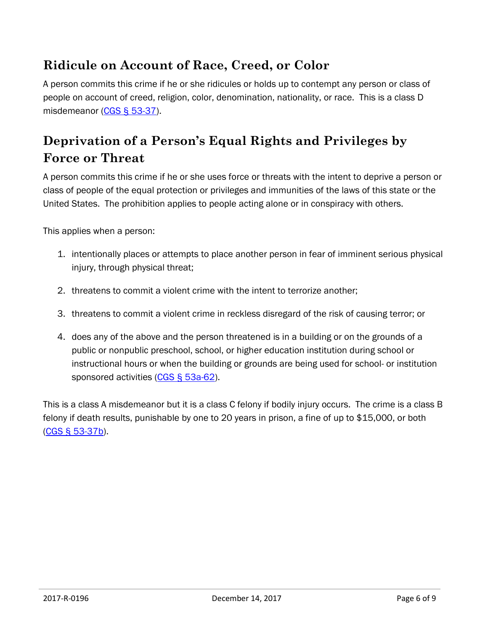### **Ridicule on Account of Race, Creed, or Color**

A person commits this crime if he or she ridicules or holds up to contempt any person or class of people on account of creed, religion, color, denomination, nationality, or race. This is a class D misdemeanor [\(CGS § 53-37\)](https://www.cga.ct.gov/current/pub/chap_939.htm#sec_53-37).

## **Deprivation of a Person's Equal Rights and Privileges by Force or Threat**

A person commits this crime if he or she uses force or threats with the intent to deprive a person or class of people of the equal protection or privileges and immunities of the laws of this state or the United States. The prohibition applies to people acting alone or in conspiracy with others.

This applies when a person:

- 1. intentionally places or attempts to place another person in fear of imminent serious physical injury, through physical threat;
- 2. threatens to commit a violent crime with the intent to terrorize another;
- 3. threatens to commit a violent crime in reckless disregard of the risk of causing terror; or
- 4. does any of the above and the person threatened is in a building or on the grounds of a public or nonpublic preschool, school, or higher education institution during school or instructional hours or when the building or grounds are being used for school- or institution sponsored activities [\(CGS § 53a-62\)](https://www.cga.ct.gov/current/pub/chap_952.htm#sec_53a-62).

This is a class A misdemeanor but it is a class C felony if bodily injury occurs. The crime is a class B felony if death results, punishable by one to 20 years in prison, a fine of up to \$15,000, or both [\(CGS § 53-37b\)](https://www.cga.ct.gov/current/pub/chap_939.htm#sec_53-37b).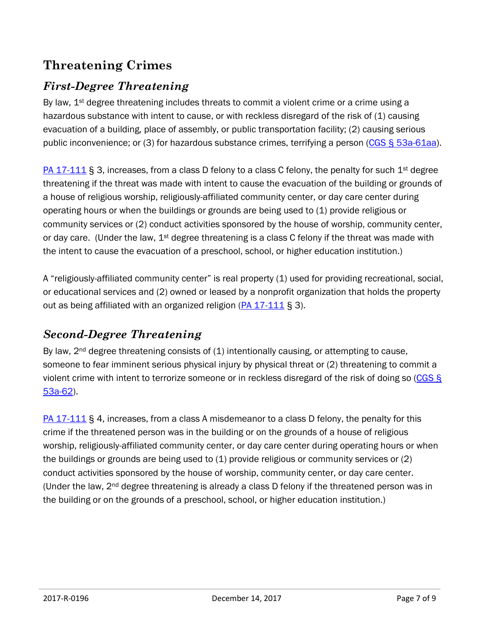### **Threatening Crimes**

### *First-Degree Threatening*

By law,  $1^{st}$  degree threatening includes threats to commit a violent crime or a crime using a hazardous substance with intent to cause, or with reckless disregard of the risk of (1) causing evacuation of a building, place of assembly, or public transportation facility; (2) causing serious public inconvenience; or (3) for hazardous substance crimes, terrifying a person (CGS § [53a-61aa\)](https://www.cga.ct.gov/current/pub/chap_952.htm#sec_53a-61aa).

[PA 17-111](https://www.cga.ct.gov/asp/cgabillstatus/cgabillstatus.asp?selBillType=Public+Act&which_year=2017&bill_num=111) § 3, increases, from a class D felony to a class C felony, the penalty for such  $1^{st}$  degree threatening if the threat was made with intent to cause the evacuation of the building or grounds of a house of religious worship, religiously-affiliated community center, or day care center during operating hours or when the buildings or grounds are being used to (1) provide religious or community services or (2) conduct activities sponsored by the house of worship, community center, or day care. (Under the law,  $1<sup>st</sup>$  degree threatening is a class C felony if the threat was made with the intent to cause the evacuation of a preschool, school, or higher education institution.)

A "religiously-affiliated community center" is real property (1) used for providing recreational, social, or educational services and (2) owned or leased by a nonprofit organization that holds the property out as being affiliated with an organized religion  $(PA 17-111 8 3)$  $(PA 17-111 8 3)$ .

#### *Second-Degree Threatening*

By law,  $2^{nd}$  degree threatening consists of  $(1)$  intentionally causing, or attempting to cause, someone to fear imminent serious physical injury by physical threat or (2) threatening to commit a violent crime with intent to terrorize someone or in reckless disregard of the risk of doing so [\(CGS §](https://www.cga.ct.gov/current/pub/chap_952.htm#sec_53a-62)  [53a-62\)](https://www.cga.ct.gov/current/pub/chap_952.htm#sec_53a-62).

[PA 17-111](https://www.cga.ct.gov/asp/cgabillstatus/cgabillstatus.asp?selBillType=Public+Act&which_year=2017&bill_num=111) § 4, increases, from a class A misdemeanor to a class D felony, the penalty for this crime if the threatened person was in the building or on the grounds of a house of religious worship, religiously-affiliated community center, or day care center during operating hours or when the buildings or grounds are being used to (1) provide religious or community services or (2) conduct activities sponsored by the house of worship, community center, or day care center. (Under the law,  $2<sup>nd</sup>$  degree threatening is already a class D felony if the threatened person was in the building or on the grounds of a preschool, school, or higher education institution.)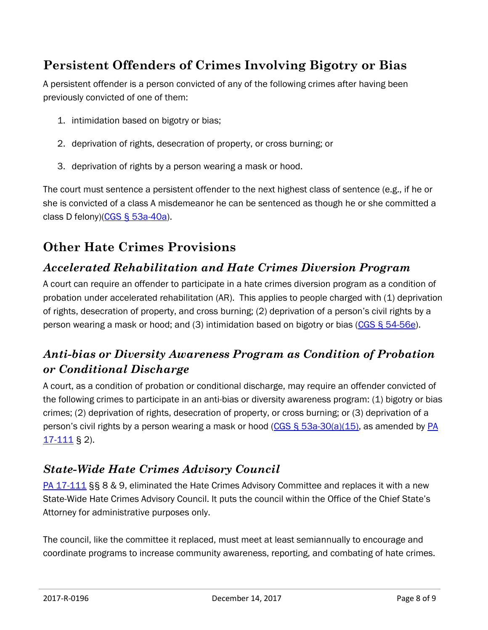### **Persistent Offenders of Crimes Involving Bigotry or Bias**

A persistent offender is a person convicted of any of the following crimes after having been previously convicted of one of them:

- 1. intimidation based on bigotry or bias;
- 2. deprivation of rights, desecration of property, or cross burning; or
- 3. deprivation of rights by a person wearing a mask or hood.

The court must sentence a persistent offender to the next highest class of sentence (e.g., if he or she is convicted of a class A misdemeanor he can be sentenced as though he or she committed a class D felony)[\(CGS § 53a-40a\)](https://www.cga.ct.gov/current/pub/chap_952.htm#sec_53a-40a).

### **Other Hate Crimes Provisions**

#### *Accelerated Rehabilitation and Hate Crimes Diversion Program*

A court can require an offender to participate in a hate crimes diversion program as a condition of probation under accelerated rehabilitation (AR). This applies to people charged with (1) deprivation of rights, desecration of property, and cross burning; (2) deprivation of a person's civil rights by a person wearing a mask or hood; and (3) intimidation based on bigotry or bias [\(CGS § 54-56e\)](https://www.cga.ct.gov/current/pub/chap_960.htm#sec_54-56e).

### *Anti-bias or Diversity Awareness Program as Condition of Probation or Conditional Discharge*

A court, as a condition of probation or conditional discharge, may require an offender convicted of the following crimes to participate in an anti-bias or diversity awareness program: (1) bigotry or bias crimes; (2) deprivation of rights, desecration of property, or cross burning; or (3) deprivation of a person's civil rights by a person wearing a mask or hood (CGS  $\S$  53a-30(a)(15), as amended by PA [17-111](https://www.cga.ct.gov/asp/cgabillstatus/cgabillstatus.asp?selBillType=Public+Act&which_year=2017&bill_num=111) § 2).

#### *State-Wide Hate Crimes Advisory Council*

[PA 17-111](https://www.cga.ct.gov/asp/cgabillstatus/cgabillstatus.asp?selBillType=Public+Act&which_year=2017&bill_num=111) §§ 8 & 9, eliminated the Hate Crimes Advisory Committee and replaces it with a new State-Wide Hate Crimes Advisory Council. It puts the council within the Office of the Chief State's Attorney for administrative purposes only.

The council, like the committee it replaced, must meet at least semiannually to encourage and coordinate programs to increase community awareness, reporting, and combating of hate crimes.